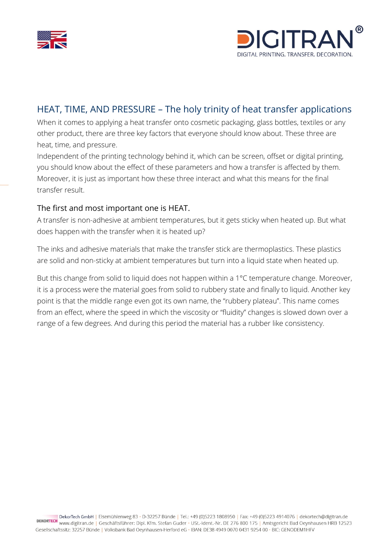



## HEAT, TIME, AND PRESSURE – The holy trinity of heat transfer applications

When it comes to applying a heat transfer onto cosmetic packaging, glass bottles, textiles or any other product, there are three key factors that everyone should know about. These three are heat, time, and pressure.

Independent of the printing technology behind it, which can be screen, offset or digital printing, you should know about the effect of these parameters and how a transfer is affected by them. Moreover, it is just as important how these three interact and what this means for the final transfer result.

### The first and most important one is HEAT.

A transfer is non-adhesive at ambient temperatures, but it gets sticky when heated up. But what does happen with the transfer when it is heated up?

The inks and adhesive materials that make the transfer stick are thermoplastics. These plastics are solid and non-sticky at ambient temperatures but turn into a liquid state when heated up.

But this change from solid to liquid does not happen within a 1°C temperature change. Moreover, it is a process were the material goes from solid to rubbery state and finally to liquid. Another key point is that the middle range even got its own name, the "rubbery plateau". This name comes from an effect, where the speed in which the viscosity or "fluidity" changes is slowed down over a range of a few degrees. And during this period the material has a rubber like consistency.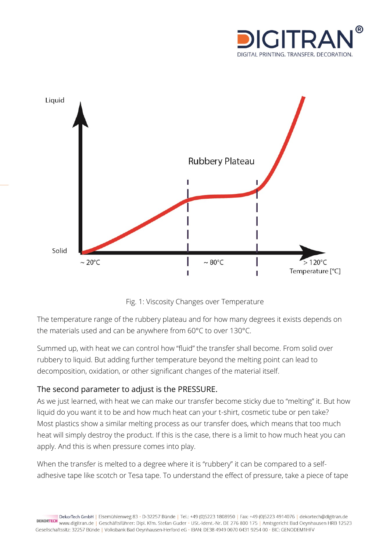



Fig. 1: Viscosity Changes over Temperature

The temperature range of the rubbery plateau and for how many degrees it exists depends on the materials used and can be anywhere from 60°C to over 130°C.

Summed up, with heat we can control how "fluid" the transfer shall become. From solid over rubbery to liquid. But adding further temperature beyond the melting point can lead to decomposition, oxidation, or other significant changes of the material itself.

## The second parameter to adjust is the PRESSURE.

As we just learned, with heat we can make our transfer become sticky due to "melting" it. But how liquid do you want it to be and how much heat can your t-shirt, cosmetic tube or pen take? Most plastics show a similar melting process as our transfer does, which means that too much heat will simply destroy the product. If this is the case, there is a limit to how much heat you can apply. And this is when pressure comes into play.

When the transfer is melted to a degree where it is "rubbery" it can be compared to a selfadhesive tape like scotch or Tesa tape. To understand the effect of pressure, take a piece of tape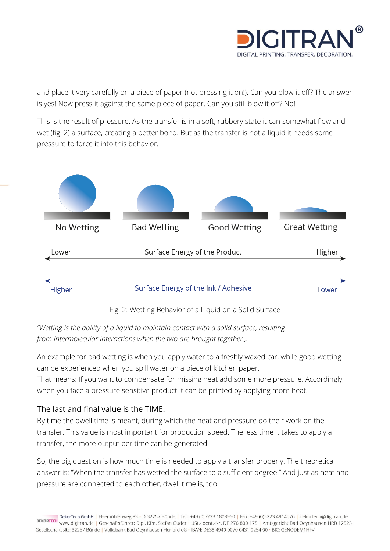

and place it very carefully on a piece of paper (not pressing it on!). Can you blow it off? The answer is yes! Now press it against the same piece of paper. Can you still blow it off? No!

This is the result of pressure. As the transfer is in a soft, rubbery state it can somewhat flow and wet (fig. 2) a surface, creating a better bond. But as the transfer is not a liquid it needs some pressure to force it into this behavior.



Fig. 2: Wetting Behavior of a Liquid on a Solid Surface

*"Wetting is the ability of a [liquid](https://en.wikipedia.org/wiki/Liquid) to maintain contact with a [solid](https://en.wikipedia.org/wiki/Solid) [surface,](https://en.wikipedia.org/wiki/Surface_science) resulting*  from *[intermolecular](https://en.wikipedia.org/wiki/Intermolecular) interactions* when the two are brought together.

An example for bad wetting is when you apply water to a freshly waxed car, while good wetting can be experienced when you spill water on a piece of kitchen paper.

That means: If you want to compensate for missing heat add some more pressure. Accordingly, when you face a pressure sensitive product it can be printed by applying more heat.

## The last and final value is the TIME.

By time the dwell time is meant, during which the heat and pressure do their work on the transfer. This value is most important for production speed. The less time it takes to apply a transfer, the more output per time can be generated.

So, the big question is how much time is needed to apply a transfer properly. The theoretical answer is: "When the transfer has wetted the surface to a sufficient degree." And just as heat and pressure are connected to each other, dwell time is, too.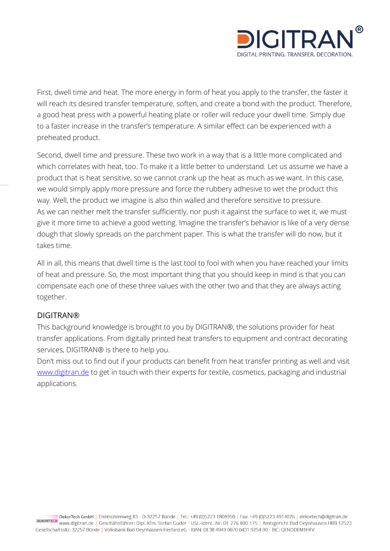

First, dwell time and heat. The more energy in form of heat you apply to the transfer, the faster it will reach its desired transfer temperature, soften, and create a bond with the product. Therefore, a good heat press with a powerful heating plate or roller will reduce your dwell time. Simply due to a faster increase in the transfer's temperature. A similar effect can be experienced with a preheated product.

Second, dwell time and pressure. These two work in a way that is a little more complicated and which correlates with heat, too. To make it a little better to understand. Let us assume we have a product that is heat sensitive, so we cannot crank up the heat as much as we want. In this case, we would simply apply more pressure and force the rubbery adhesive to wet the product this way. Well, the product we imagine is also thin walled and therefore sensitive to pressure. As we can neither melt the transfer sufficiently, nor push it against the surface to wet it, we must give it more time to achieve a good wetting. Imagine the transfer's behavior is like of a very dense dough that slowly spreads on the parchment paper. This is what the transfer will do now, but it takes time.

All in all, this means that dwell time is the last tool to fool with when you have reached your limits of heat and pressure. So, the most important thing that you should keep in mind is that you can compensate each one of these three values with the other two and that they are always acting together.

#### DIGITRAN®

This background knowledge is brought to you by DIGITRAN®, the solutions provider for heat transfer applications. From digitally printed heat transfers to equipment and contract decorating services, DIGITRAN® is there to help you.

Don't miss out to find out if your products can benefit from heat transfer printing as well and visit [www.digitran.de](http://www.digitran.de/) to get in touch with their experts for textile, cosmetics, packaging and industrial applications.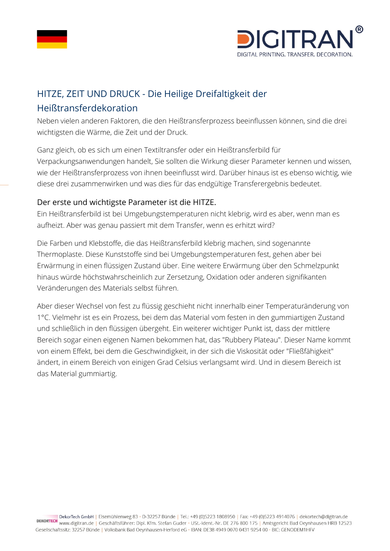



# HITZE, ZEIT UND DRUCK - Die Heilige Dreifaltigkeit der Heißtransferdekoration

Neben vielen anderen Faktoren, die den Heißtransferprozess beeinflussen können, sind die drei wichtigsten die Wärme, die Zeit und der Druck.

Ganz gleich, ob es sich um einen Textiltransfer oder ein Heißtransferbild für Verpackungsanwendungen handelt, Sie sollten die Wirkung dieser Parameter kennen und wissen, wie der Heißtransferprozess von ihnen beeinflusst wird. Darüber hinaus ist es ebenso wichtig, wie diese drei zusammenwirken und was dies für das endgültige Transferergebnis bedeutet.

### Der erste und wichtigste Parameter ist die HITZE.

Ein Heißtransferbild ist bei Umgebungstemperaturen nicht klebrig, wird es aber, wenn man es aufheizt. Aber was genau passiert mit dem Transfer, wenn es erhitzt wird?

Die Farben und Klebstoffe, die das Heißtransferbild klebrig machen, sind sogenannte Thermoplaste. Diese Kunststoffe sind bei Umgebungstemperaturen fest, gehen aber bei Erwärmung in einen flüssigen Zustand über. Eine weitere Erwärmung über den Schmelzpunkt hinaus würde höchstwahrscheinlich zur Zersetzung, Oxidation oder anderen signifikanten Veränderungen des Materials selbst führen.

Aber dieser Wechsel von fest zu flüssig geschieht nicht innerhalb einer Temperaturänderung von 1°C. Vielmehr ist es ein Prozess, bei dem das Material vom festen in den gummiartigen Zustand und schließlich in den flüssigen übergeht. Ein weiterer wichtiger Punkt ist, dass der mittlere Bereich sogar einen eigenen Namen bekommen hat, das "Rubbery Plateau". Dieser Name kommt von einem Effekt, bei dem die Geschwindigkeit, in der sich die Viskosität oder "Fließfähigkeit" ändert, in einem Bereich von einigen Grad Celsius verlangsamt wird. Und in diesem Bereich ist das Material gummiartig.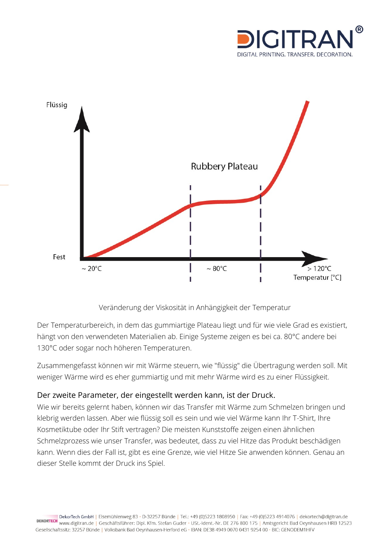



Veränderung der Viskosität in Anhängigkeit der Temperatur

Der Temperaturbereich, in dem das gummiartige Plateau liegt und für wie viele Grad es existiert, hängt von den verwendeten Materialien ab. Einige Systeme zeigen es bei ca. 80°C andere bei 130°C oder sogar noch höheren Temperaturen.

Zusammengefasst können wir mit Wärme steuern, wie "flüssig" die Übertragung werden soll. Mit weniger Wärme wird es eher gummiartig und mit mehr Wärme wird es zu einer Flüssigkeit.

#### Der zweite Parameter, der eingestellt werden kann, ist der Druck.

Wie wir bereits gelernt haben, können wir das Transfer mit Wärme zum Schmelzen bringen und klebrig werden lassen. Aber wie flüssig soll es sein und wie viel Wärme kann Ihr T-Shirt, Ihre Kosmetiktube oder Ihr Stift vertragen? Die meisten Kunststoffe zeigen einen ähnlichen Schmelzprozess wie unser Transfer, was bedeutet, dass zu viel Hitze das Produkt beschädigen kann. Wenn dies der Fall ist, gibt es eine Grenze, wie viel Hitze Sie anwenden können. Genau an dieser Stelle kommt der Druck ins Spiel.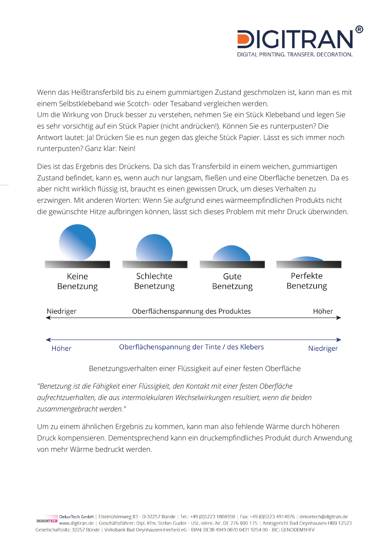![](_page_6_Picture_0.jpeg)

Wenn das Heißtransferbild bis zu einem gummiartigen Zustand geschmolzen ist, kann man es mit einem Selbstklebeband wie Scotch- oder Tesaband vergleichen werden. Um die Wirkung von Druck besser zu verstehen, nehmen Sie ein Stück Klebeband und legen Sie es sehr vorsichtig auf ein Stück Papier (nicht andrücken!). Können Sie es runterpusten? Die Antwort lautet: Ja! Drücken Sie es nun gegen das gleiche Stück Papier. Lässt es sich immer noch runterpusten? Ganz klar: Nein!

Dies ist das Ergebnis des Drückens. Da sich das Transferbild in einem weichen, gummiartigen Zustand befindet, kann es, wenn auch nur langsam, fließen und eine Oberfläche benetzen. Da es aber nicht wirklich flüssig ist, braucht es einen gewissen Druck, um dieses Verhalten zu erzwingen. Mit anderen Worten: Wenn Sie aufgrund eines wärmeempfindlichen Produkts nicht die gewünschte Hitze aufbringen können, lässt sich dieses Problem mit mehr Druck überwinden.

![](_page_6_Figure_3.jpeg)

Benetzungsverhalten einer Flüssigkeit auf einer festen Oberfläche

*"Benetzung ist die Fähigkeit einer Flüssigkeit, den Kontakt mit einer festen Oberfläche aufrechtzuerhalten, die aus intermolekularen Wechselwirkungen resultiert, wenn die beiden zusammengebracht werden."*

Um zu einem ähnlichen Ergebnis zu kommen, kann man also fehlende Wärme durch höheren Druck kompensieren. Dementsprechend kann ein druckempfindliches Produkt durch Anwendung von mehr Wärme bedruckt werden.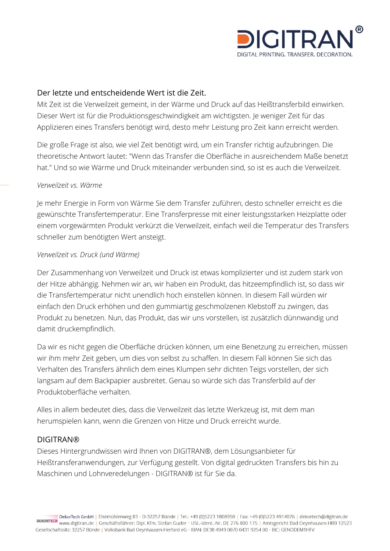![](_page_7_Picture_0.jpeg)

#### Der letzte und entscheidende Wert ist die Zeit.

Mit Zeit ist die Verweilzeit gemeint, in der Wärme und Druck auf das Heißtransferbild einwirken. Dieser Wert ist für die Produktionsgeschwindigkeit am wichtigsten. Je weniger Zeit für das Applizieren eines Transfers benötigt wird, desto mehr Leistung pro Zeit kann erreicht werden.

Die große Frage ist also, wie viel Zeit benötigt wird, um ein Transfer richtig aufzubringen. Die theoretische Antwort lautet: "Wenn das Transfer die Oberfläche in ausreichendem Maße benetzt hat." Und so wie Wärme und Druck miteinander verbunden sind, so ist es auch die Verweilzeit.

#### *Verweilzeit vs. Wärme*

Je mehr Energie in Form von Wärme Sie dem Transfer zuführen, desto schneller erreicht es die gewünschte Transfertemperatur. Eine Transferpresse mit einer leistungsstarken Heizplatte oder einem vorgewärmten Produkt verkürzt die Verweilzeit, einfach weil die Temperatur des Transfers schneller zum benötigten Wert ansteigt.

#### *Verweilzeit vs. Druck (und Wärme)*

Der Zusammenhang von Verweilzeit und Druck ist etwas komplizierter und ist zudem stark von der Hitze abhängig. Nehmen wir an, wir haben ein Produkt, das hitzeempfindlich ist, so dass wir die Transfertemperatur nicht unendlich hoch einstellen können. In diesem Fall würden wir einfach den Druck erhöhen und den gummiartig geschmolzenen Klebstoff zu zwingen, das Produkt zu benetzen. Nun, das Produkt, das wir uns vorstellen, ist zusätzlich dünnwandig und damit druckempfindlich.

Da wir es nicht gegen die Oberfläche drücken können, um eine Benetzung zu erreichen, müssen wir ihm mehr Zeit geben, um dies von selbst zu schaffen. In diesem Fall können Sie sich das Verhalten des Transfers ähnlich dem eines Klumpen sehr dichten Teigs vorstellen, der sich langsam auf dem Backpapier ausbreitet. Genau so würde sich das Transferbild auf der Produktoberfläche verhalten.

Alles in allem bedeutet dies, dass die Verweilzeit das letzte Werkzeug ist, mit dem man herumspielen kann, wenn die Grenzen von Hitze und Druck erreicht wurde.

#### DIGITRAN®

Dieses Hintergrundwissen wird Ihnen von DIGITRAN®, dem Lösungsanbieter für Heißtransferanwendungen, zur Verfügung gestellt. Von digital gedruckten Transfers bis hin zu Maschinen und Lohnveredelungen - DIGITRAN® ist für Sie da.